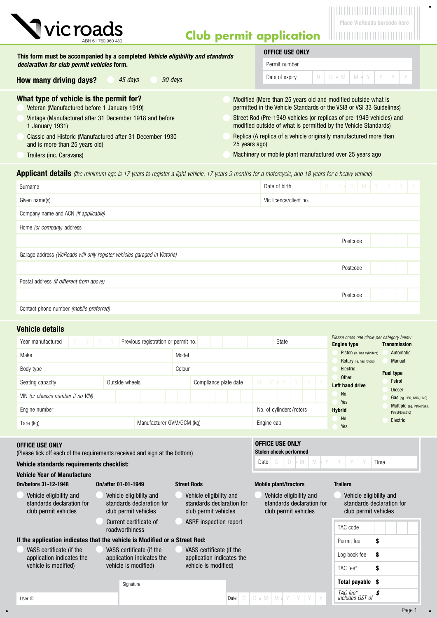

# **Club permit application**

 $\bullet$ 

| This form must be accompanied by a completed <i>Vehicle eligibility and standards</i>                                                                                                                                            | <b>OFFICE USE ONLY</b>                                                                                                                  |  |  |  |  |
|----------------------------------------------------------------------------------------------------------------------------------------------------------------------------------------------------------------------------------|-----------------------------------------------------------------------------------------------------------------------------------------|--|--|--|--|
| declaration for club permit vehicles form.                                                                                                                                                                                       | Permit number                                                                                                                           |  |  |  |  |
| How many driving days?<br>45 davs<br>90 days                                                                                                                                                                                     | $D   D \nmid M   M \nmid Y   Y   Y   Y$<br>Date of expiry                                                                               |  |  |  |  |
| What type of vehicle is the permit for?<br>Modified (More than 25 years old and modified outside what is<br>permitted in the Vehicle Standards or the VSI8 or VSI 33 Guidelines)<br>Veteran (Manufactured before 1 January 1919) |                                                                                                                                         |  |  |  |  |
| Vintage (Manufactured after 31 December 1918 and before<br>1 January 1931)                                                                                                                                                       | Street Rod (Pre-1949 vehicles (or replicas of pre-1949 vehicles) and<br>modified outside of what is permitted by the Vehicle Standards) |  |  |  |  |
| Classic and Historic (Manufactured after 31 December 1930<br>and is more than 25 years old)                                                                                                                                      | Replica (A replica of a vehicle originally manufactured more than<br>25 years ago)                                                      |  |  |  |  |
| Trailers (inc. Caravans)                                                                                                                                                                                                         | Machinery or mobile plant manufactured over 25 years ago                                                                                |  |  |  |  |

Applicant details *(the minimum age is 17 years to register a light vehicle, 17 years 9 months for a motorcycle, and 18 years for a heavy vehicle)*

| Surname                                                                   | Date of birth          | $D$ $D \uparrow M$ $M \uparrow Y$ $Y$ $Y$ |
|---------------------------------------------------------------------------|------------------------|-------------------------------------------|
| Given name(s)                                                             | Vic licence/client no. |                                           |
| Company name and ACN (if applicable)                                      |                        |                                           |
| Home (or company) address                                                 |                        |                                           |
|                                                                           |                        | Postcode                                  |
| Garage address (VicRoads will only register vehicles garaged in Victoria) |                        |                                           |
|                                                                           |                        | Postcode                                  |
| Postal address (if different from above)                                  |                        |                                           |
|                                                                           |                        | Postcode                                  |
| Contact phone number (mobile preferred)                                   |                        |                                           |

## Vehicle details

| Year manufactured                 | Previous registration or permit no. |                       | State                   | Please cross one circle per category below<br><b>Engine type</b> | <b>Transmission</b>                          |
|-----------------------------------|-------------------------------------|-----------------------|-------------------------|------------------------------------------------------------------|----------------------------------------------|
| Make                              | Model                               |                       |                         | Piston (ie. has cylinders)<br>Rotary (ie. has rotors)            | Automatic<br><b>Manual</b>                   |
| Body type                         | Colour                              |                       |                         | Electric                                                         | <b>Fuel type</b>                             |
| Seating capacity                  | Outside wheels                      | Compliance plate date | $M + Y + Y + Y$<br>M    | Other<br>Left hand drive                                         | Petrol<br><b>Diesel</b>                      |
| VIN (or chassis number if no VIN) |                                     |                       |                         | <b>No</b><br>Yes                                                 | Gas (eg. LPG, CNG, LNG)                      |
| Engine number                     |                                     |                       | No. of cylinders/rotors | <b>Hybrid</b>                                                    | Multiple (eg. Petrol/Gas<br>Petrol/Electric) |
| Tare (kg)                         | Manufacturer GVM/GCM (kg)           |                       | Engine cap.             | <b>No</b><br>Yes                                                 | Electric                                     |

Date  $\Box$   $\Box$   $\Diamond$  M  $\Box$  M  $\Diamond$  Y  $\Box$  Y  $\Box$  Y  $\Box$  Y  $\Box$  Time

OFFICE USE ONLY Stolen check performed

#### OFFICE USE ONLY

(Please tick off each of the requirements received and sign at the bottom)

### Vehicle standards requirements checklist:

Vehicle Year of Manufacture

| VGIIIGIG TGAI VI MAIIUIAGWIG                                                 |                                                                              |                                                                              |                                                                              |                                                                              |
|------------------------------------------------------------------------------|------------------------------------------------------------------------------|------------------------------------------------------------------------------|------------------------------------------------------------------------------|------------------------------------------------------------------------------|
| On/before 31-12-1948                                                         | On/after 01-01-1949                                                          | <b>Street Rods</b>                                                           | <b>Mobile plant/tractors</b>                                                 | <b>Trailers</b>                                                              |
| Vehicle eligibility and<br>standards declaration for<br>club permit vehicles | Vehicle eligibility and<br>standards declaration for<br>club permit vehicles | Vehicle eligibility and<br>standards declaration for<br>club permit vehicles | Vehicle eligibility and<br>standards declaration for<br>club permit vehicles | Vehicle eligibility and<br>standards declaration for<br>club permit vehicles |
|                                                                              | Current certificate of<br>roadworthiness                                     | ASRF inspection report                                                       |                                                                              | TAC code                                                                     |
| If the application indicates that the vehicle is Modified or a Street Rod:   |                                                                              |                                                                              |                                                                              | Permit fee<br>\$                                                             |
| VASS certificate (if the<br>application indicates the                        | VASS certificate (if the<br>application indicates the                        | VASS certificate (if the<br>application indicates the                        |                                                                              | Log book fee<br>\$                                                           |
| vehicle is modified)                                                         | vehicle is modified)<br>vehicle is modified)                                 |                                                                              | TAC fee*<br>S                                                                |                                                                              |
|                                                                              | Signature                                                                    |                                                                              |                                                                              | Total payable \$                                                             |

 $\bullet$ 

*TAC fee\* \$ includes GST of*